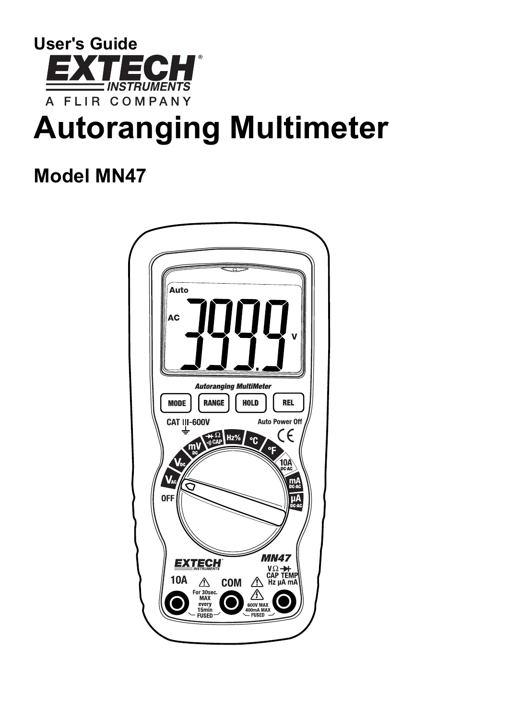

# **Autoranging Multimeter**

## **Model MN47**

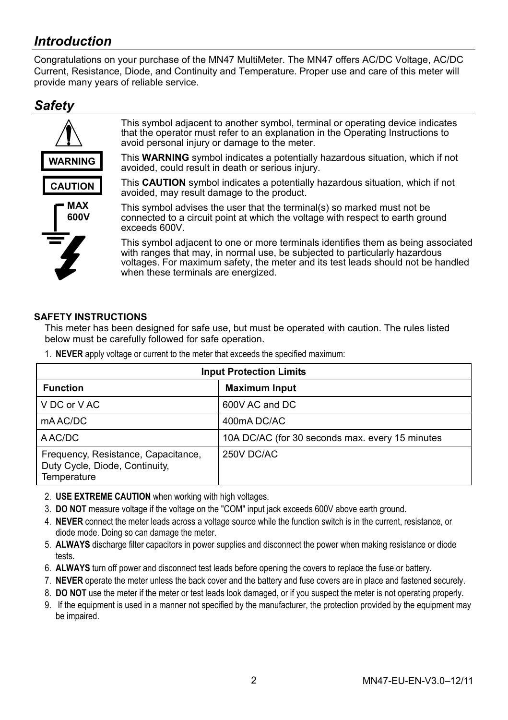## *Introduction*

Congratulations on your purchase of the MN47 MultiMeter. The MN47 offers AC/DC Voltage, AC/DC Current, Resistance, Diode, and Continuity and Temperature. Proper use and care of this meter will provide many years of reliable service.

## *Safety*



This symbol adjacent to another symbol, terminal or operating device indicates that the operator must refer to an explanation in the Operating Instructions to avoid personal injury or damage to the meter.

This **WARNING** symbol indicates a potentially hazardous situation, which if not avoided, could result in death or serious injury.

This **CAUTION** symbol indicates a potentially hazardous situation, which if not avoided, may result damage to the product.



This symbol advises the user that the terminal(s) so marked must not be connected to a circuit point at which the voltage with respect to earth ground exceeds 600V.

This symbol adjacent to one or more terminals identifies them as being associated with ranges that may, in normal use, be subjected to particularly hazardous voltages. For maximum safety, the meter and its test leads should not be handled when these terminals are energized.

#### **SAFETY INSTRUCTIONS**

This meter has been designed for safe use, but must be operated with caution. The rules listed below must be carefully followed for safe operation.

1. **NEVER** apply voltage or current to the meter that exceeds the specified maximum:

| <b>Input Protection Limits</b>                                                       |                                                 |  |  |
|--------------------------------------------------------------------------------------|-------------------------------------------------|--|--|
| <b>Function</b>                                                                      | <b>Maximum Input</b>                            |  |  |
| V DC or V AC                                                                         | 600V AC and DC                                  |  |  |
| mAAC/DC                                                                              | 400mA DC/AC                                     |  |  |
| A AC/DC                                                                              | 10A DC/AC (for 30 seconds max. every 15 minutes |  |  |
| Frequency, Resistance, Capacitance,<br>Duty Cycle, Diode, Continuity,<br>Temperature | 250V DC/AC                                      |  |  |

- 2. **USE EXTREME CAUTION** when working with high voltages.
- 3. **DO NOT** measure voltage if the voltage on the "COM" input jack exceeds 600V above earth ground.
- 4. **NEVER** connect the meter leads across a voltage source while the function switch is in the current, resistance, or diode mode. Doing so can damage the meter.
- 5. **ALWAYS** discharge filter capacitors in power supplies and disconnect the power when making resistance or diode tests.
- 6. **ALWAYS** turn off power and disconnect test leads before opening the covers to replace the fuse or battery.
- 7. **NEVER** operate the meter unless the back cover and the battery and fuse covers are in place and fastened securely.
- 8. **DO NOT** use the meter if the meter or test leads look damaged, or if you suspect the meter is not operating properly.
- 9. If the equipment is used in a manner not specified by the manufacturer, the protection provided by the equipment may be impaired.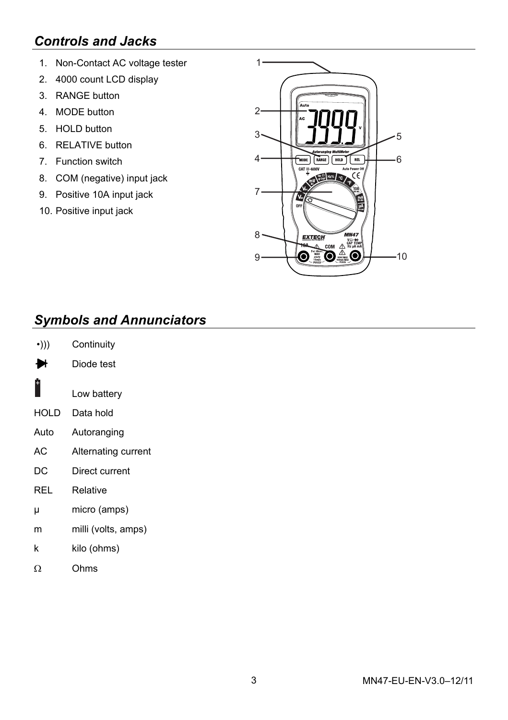## *Controls and Jacks*

- 1. Non-Contact AC voltage tester
- 2. 4000 count LCD display
- 3. RANGE button
- 4. MODE button
- 5. HOLD button
- 6. RELATIVE button
- 7. Function switch
- 8. COM (negative) input jack
- 9. Positive 10A input jack
- 10. Positive input jack



## *Symbols and Annunciators*

| $\cdot$ ))) | Continuity |
|-------------|------------|
|-------------|------------|

- Diode test ₩
- +
- Low battery
- HOLD Data hold
- Auto Autoranging
- AC Alternating current
- DC Direct current
- REL Relative
- µ micro (amps)
- m milli (volts, amps)
- k kilo (ohms)
- Ω Ohms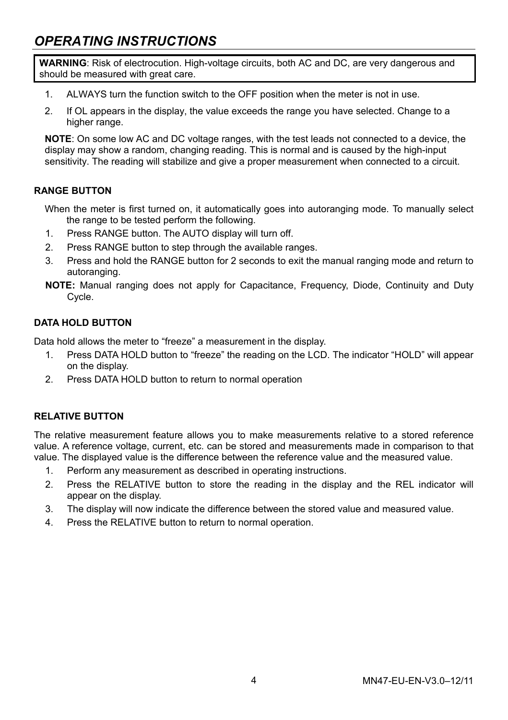## *OPERATING INSTRUCTIONS*

**WARNING**: Risk of electrocution. High-voltage circuits, both AC and DC, are very dangerous and should be measured with great care.

- 1. ALWAYS turn the function switch to the OFF position when the meter is not in use.
- 2. If OL appears in the display, the value exceeds the range you have selected. Change to a higher range

**NOTE**: On some low AC and DC voltage ranges, with the test leads not connected to a device, the display may show a random, changing reading. This is normal and is caused by the high-input sensitivity. The reading will stabilize and give a proper measurement when connected to a circuit.

#### **RANGE BUTTON**

When the meter is first turned on, it automatically goes into autoranging mode. To manually select the range to be tested perform the following.

- 1. Press RANGE button. The AUTO display will turn off.
- 2. Press RANGE button to step through the available ranges.
- 3. Press and hold the RANGE button for 2 seconds to exit the manual ranging mode and return to autoranging.
- **NOTE:** Manual ranging does not apply for Capacitance, Frequency, Diode, Continuity and Duty Cycle.

#### **DATA HOLD BUTTON**

Data hold allows the meter to "freeze" a measurement in the display.

- 1. Press DATA HOLD button to "freeze" the reading on the LCD. The indicator "HOLD" will appear on the display.
- 2. Press DATA HOLD button to return to normal operation

#### **RELATIVE BUTTON**

The relative measurement feature allows you to make measurements relative to a stored reference value. A reference voltage, current, etc. can be stored and measurements made in comparison to that value. The displayed value is the difference between the reference value and the measured value.

- 1. Perform any measurement as described in operating instructions.
- 2. Press the RELATIVE button to store the reading in the display and the REL indicator will appear on the display.
- 3. The display will now indicate the difference between the stored value and measured value.
- 4. Press the RELATIVE button to return to normal operation.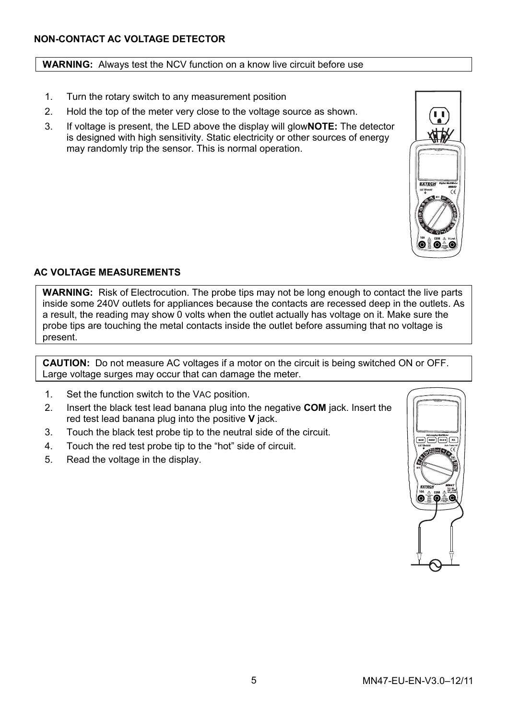#### **NON-CONTACT AC VOLTAGE DETECTOR**

#### **WARNING:** Always test the NCV function on a know live circuit before use

- 1. Turn the rotary switch to any measurement position
- 2. Hold the top of the meter very close to the voltage source as shown.
- 3. If voltage is present, the LED above the display will glow**NOTE:** The detector is designed with high sensitivity. Static electricity or other sources of energy may randomly trip the sensor. This is normal operation.



#### **AC VOLTAGE MEASUREMENTS**

**WARNING:** Risk of Electrocution. The probe tips may not be long enough to contact the live parts inside some 240V outlets for appliances because the contacts are recessed deep in the outlets. As a result, the reading may show 0 volts when the outlet actually has voltage on it. Make sure the probe tips are touching the metal contacts inside the outlet before assuming that no voltage is present.

**CAUTION:** Do not measure AC voltages if a motor on the circuit is being switched ON or OFF. Large voltage surges may occur that can damage the meter.

- 1. Set the function switch to the VAC position.
- 2. Insert the black test lead banana plug into the negative **COM** jack. Insert the red test lead banana plug into the positive **V** jack.
- 3. Touch the black test probe tip to the neutral side of the circuit.
- 4. Touch the red test probe tip to the "hot" side of circuit.
- 5. Read the voltage in the display.

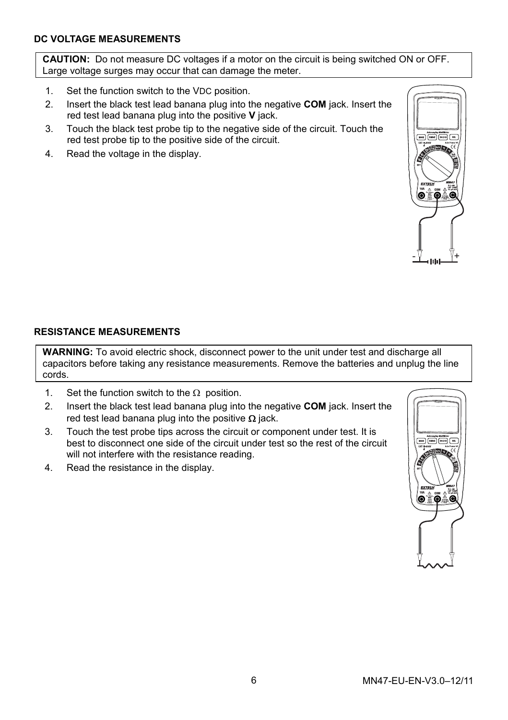#### **DC VOLTAGE MEASUREMENTS**

**CAUTION:** Do not measure DC voltages if a motor on the circuit is being switched ON or OFF. Large voltage surges may occur that can damage the meter.

- 1. Set the function switch to the VDC position.
- 2. Insert the black test lead banana plug into the negative **COM** jack. Insert the red test lead banana plug into the positive **V** jack.
- 3. Touch the black test probe tip to the negative side of the circuit. Touch the red test probe tip to the positive side of the circuit.
- 4. Read the voltage in the display.



#### **RESISTANCE MEASUREMENTS**

**WARNING:** To avoid electric shock, disconnect power to the unit under test and discharge all capacitors before taking any resistance measurements. Remove the batteries and unplug the line cords.

- 1. Set the function switch to the  $\Omega$  position.
- 2. Insert the black test lead banana plug into the negative **COM** jack. Insert the red test lead banana plug into the positive  $\Omega$  jack.
- 3. Touch the test probe tips across the circuit or component under test. It is best to disconnect one side of the circuit under test so the rest of the circuit will not interfere with the resistance reading.
- 4. Read the resistance in the display.

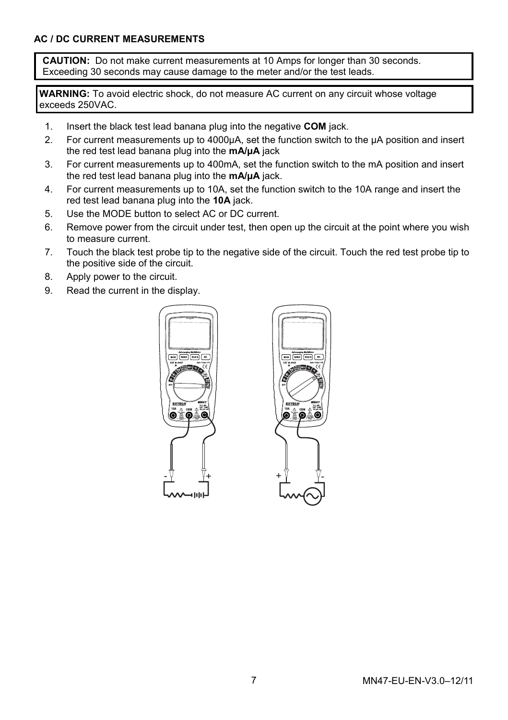**CAUTION:** Do not make current measurements at 10 Amps for longer than 30 seconds. Exceeding 30 seconds may cause damage to the meter and/or the test leads.

**WARNING:** To avoid electric shock, do not measure AC current on any circuit whose voltage exceeds 250VAC.

- 1. Insert the black test lead banana plug into the negative **COM** jack.
- 2. For current measurements up to 4000uA, set the function switch to the uA position and insert the red test lead banana plug into the **mA/µA** jack
- 3. For current measurements up to 400mA, set the function switch to the mA position and insert the red test lead banana plug into the **mA/µA** jack.
- 4. For current measurements up to 10A, set the function switch to the 10A range and insert the red test lead banana plug into the **10A** jack.
- 5. Use the MODE button to select AC or DC current.
- 6. Remove power from the circuit under test, then open up the circuit at the point where you wish to measure current.
- 7. Touch the black test probe tip to the negative side of the circuit. Touch the red test probe tip to the positive side of the circuit.
- 8. Apply power to the circuit.
- 9. Read the current in the display.



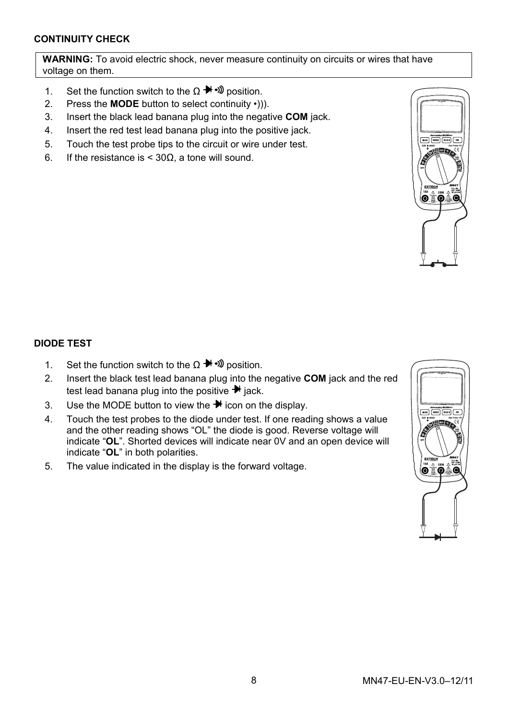#### **CONTINUITY CHECK**

**WARNING:** To avoid electric shock, never measure continuity on circuits or wires that have voltage on them.

- 1. Set the function switch to the  $\Omega \rightarrow \mathbb{R}$  by position.
- 2. Press the **MODE** button to select continuity •))).
- 3. Insert the black lead banana plug into the negative **COM** jack.
- 4. Insert the red test lead banana plug into the positive jack.
- 5. Touch the test probe tips to the circuit or wire under test.
- 6. If the resistance is < 30Ω, a tone will sound.



#### **DIODE TEST**

- 1. Set the function switch to the Ω  $\rightarrow$   $\rightarrow$   $\rightarrow$  position.
- 2. Insert the black test lead banana plug into the negative **COM** jack and the red test lead banana plug into the positive  $\rightarrow$  jack.
- 3. Use the MODE button to view the  $\bigstar$  icon on the display.
- 4. Touch the test probes to the diode under test. If one reading shows a value and the other reading shows "OL" the diode is good. Reverse voltage will indicate "**OL**". Shorted devices will indicate near 0V and an open device will indicate "**OL**" in both polarities.
- 5. The value indicated in the display is the forward voltage.

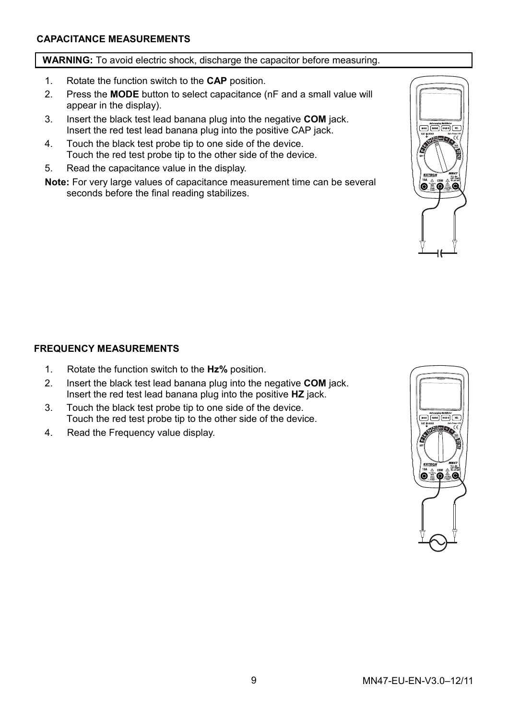#### **CAPACITANCE MEASUREMENTS**

#### **WARNING:** To avoid electric shock, discharge the capacitor before measuring.

- 1. Rotate the function switch to the **CAP** position.
- 2. Press the **MODE** button to select capacitance (nF and a small value will appear in the display).
- 3. Insert the black test lead banana plug into the negative **COM** jack. Insert the red test lead banana plug into the positive CAP jack.
- 4. Touch the black test probe tip to one side of the device. Touch the red test probe tip to the other side of the device.
- 5. Read the capacitance value in the display.

**Note:** For very large values of capacitance measurement time can be several seconds before the final reading stabilizes.



#### **FREQUENCY MEASUREMENTS**

- 1. Rotate the function switch to the **Hz%** position.
- 2. Insert the black test lead banana plug into the negative **COM** jack. Insert the red test lead banana plug into the positive **HZ** jack.
- 3. Touch the black test probe tip to one side of the device. Touch the red test probe tip to the other side of the device.
- 4. Read the Frequency value display.

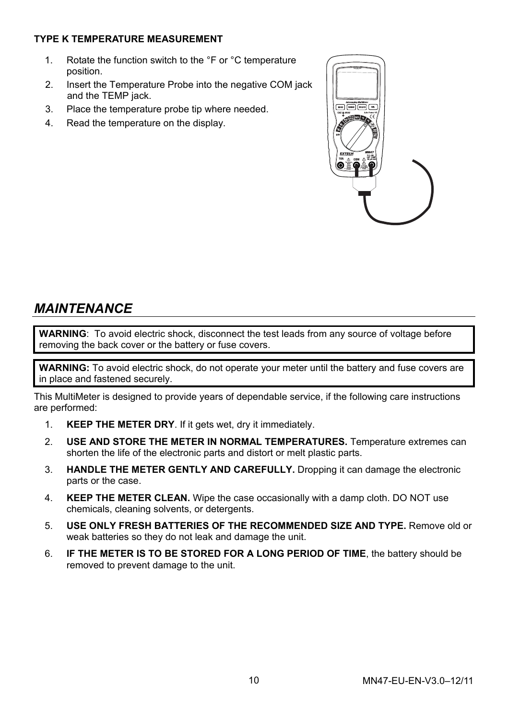#### **TYPE K TEMPERATURE MEASUREMENT**

- 1. Rotate the function switch to the °F or °C temperature position.
- 2. Insert the Temperature Probe into the negative COM jack and the TEMP jack.
- 3. Place the temperature probe tip where needed.
- 4. Read the temperature on the display.



## *MAINTENANCE*

**WARNING**: To avoid electric shock, disconnect the test leads from any source of voltage before removing the back cover or the battery or fuse covers.

**WARNING:** To avoid electric shock, do not operate your meter until the battery and fuse covers are in place and fastened securely.

This MultiMeter is designed to provide years of dependable service, if the following care instructions are performed:

- 1. **KEEP THE METER DRY**. If it gets wet, dry it immediately.
- 2. **USE AND STORE THE METER IN NORMAL TEMPERATURES.** Temperature extremes can shorten the life of the electronic parts and distort or melt plastic parts.
- 3. **HANDLE THE METER GENTLY AND CAREFULLY.** Dropping it can damage the electronic parts or the case.
- 4. **KEEP THE METER CLEAN.** Wipe the case occasionally with a damp cloth. DO NOT use chemicals, cleaning solvents, or detergents.
- 5. **USE ONLY FRESH BATTERIES OF THE RECOMMENDED SIZE AND TYPE.** Remove old or weak batteries so they do not leak and damage the unit.
- 6. **IF THE METER IS TO BE STORED FOR A LONG PERIOD OF TIME**, the battery should be removed to prevent damage to the unit.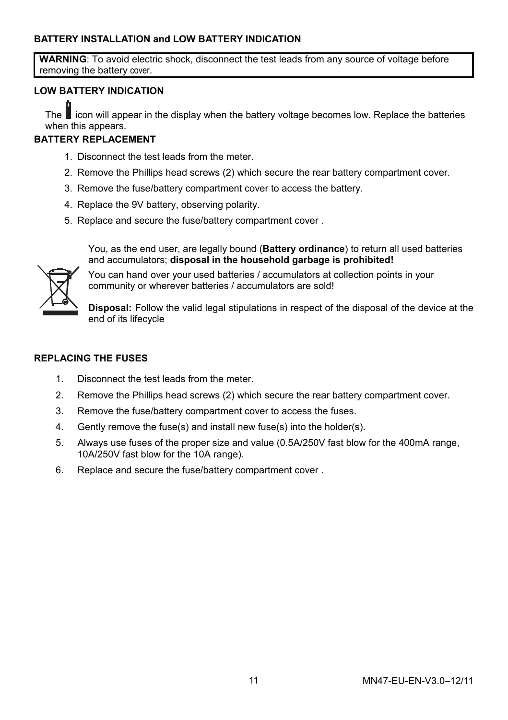#### **BATTERY INSTALLATION and LOW BATTERY INDICATION**

**WARNING**: To avoid electric shock, disconnect the test leads from any source of voltage before removing the battery cover.

#### **LOW BATTERY INDICATION**

The ■ icon will appear in the display when the battery voltage becomes low. Replace the batteries + when this appears.

#### **BATTERY REPLACEMENT**

- 1. Disconnect the test leads from the meter.
- 2. Remove the Phillips head screws (2) which secure the rear battery compartment cover.
- 3. Remove the fuse/battery compartment cover to access the battery.
- 4. Replace the 9V battery, observing polarity.
- 5. Replace and secure the fuse/battery compartment cover .

You, as the end user, are legally bound (**Battery ordinance**) to return all used batteries and accumulators; **disposal in the household garbage is prohibited!**



You can hand over your used batteries / accumulators at collection points in your community or wherever batteries / accumulators are sold!

**Disposal:** Follow the valid legal stipulations in respect of the disposal of the device at the end of its lifecycle

#### **REPLACING THE FUSES**

- 1. Disconnect the test leads from the meter.
- 2. Remove the Phillips head screws (2) which secure the rear battery compartment cover.
- 3. Remove the fuse/battery compartment cover to access the fuses.
- 4. Gently remove the fuse(s) and install new fuse(s) into the holder(s).
- 5. Always use fuses of the proper size and value (0.5A/250V fast blow for the 400mA range, 10A/250V fast blow for the 10A range).
- 6. Replace and secure the fuse/battery compartment cover .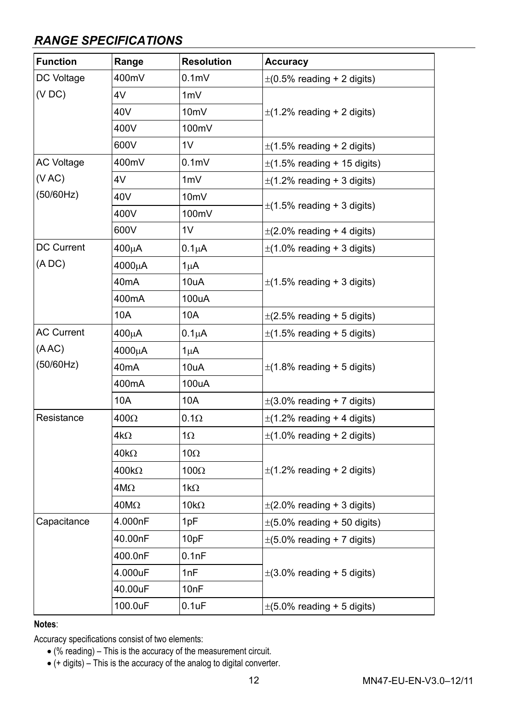## *RANGE SPECIFICATIONS*

| <b>Function</b>   | Range        | <b>Resolution</b> | Accuracy                         |
|-------------------|--------------|-------------------|----------------------------------|
| DC Voltage        | 400mV        | 0.1 <sub>m</sub>  | $\pm$ (0.5% reading + 2 digits)  |
| (VDC)             | 4V           | 1mV               | $\pm$ (1.2% reading + 2 digits)  |
|                   | 40V          | 10 <sub>m</sub> V |                                  |
|                   | 400V         | 100mV             |                                  |
|                   | 600V         | 1V                | $\pm$ (1.5% reading + 2 digits)  |
| <b>AC Voltage</b> | 400mV        | 0.1 <sub>m</sub>  | $\pm$ (1.5% reading + 15 digits) |
| (VAC)             | 4V           | 1mV               | $\pm$ (1.2% reading + 3 digits)  |
| (50/60Hz)         | 40V          | 10 <sub>m</sub> V |                                  |
|                   | 400V         | 100mV             | $\pm$ (1.5% reading + 3 digits)  |
|                   | 600V         | 1V                | $\pm$ (2.0% reading + 4 digits)  |
| <b>DC Current</b> | 400μA        | $0.1\mu A$        | $\pm$ (1.0% reading + 3 digits)  |
| (ADC)             | 4000μA       | $1\mu$ A          |                                  |
|                   | 40mA         | 10uA              | $\pm$ (1.5% reading + 3 digits)  |
|                   | 400mA        | 100uA             |                                  |
|                   | 10A          | 10A               | $\pm$ (2.5% reading + 5 digits)  |
| <b>AC Current</b> | 400μΑ        | $0.1\muA$         | $\pm$ (1.5% reading + 5 digits)  |
| (ABC)             | 4000μA       | 1μA               |                                  |
| (50/60Hz)         | 40mA         | 10uA              | $\pm$ (1.8% reading + 5 digits)  |
|                   | 400mA        | 100uA             |                                  |
|                   | 10A          | 10A               | $\pm$ (3.0% reading + 7 digits)  |
| Resistance        | $400\Omega$  | $0.1\Omega$       | $\pm$ (1.2% reading + 4 digits)  |
|                   | $4k\Omega$   | $1\Omega$         | $\pm$ (1.0% reading + 2 digits)  |
|                   | 40k $\Omega$ | 10 $\Omega$       |                                  |
|                   | 400kΩ        | $100\Omega$       | $\pm$ (1.2% reading + 2 digits)  |
|                   | $4M\Omega$   | 1k $\Omega$       |                                  |
|                   | $40M\Omega$  | $10k\Omega$       | $\pm$ (2.0% reading + 3 digits)  |
| Capacitance       | 4.000nF      | 1pF               | $\pm$ (5.0% reading + 50 digits) |
|                   | 40.00nF      | 10pF              | $\pm$ (5.0% reading + 7 digits)  |
|                   | 400.0nF      | 0.1nF             |                                  |
|                   | 4.000uF      | 1nF               | $\pm$ (3.0% reading + 5 digits)  |
|                   | 40.00uF      | 10nF              |                                  |
|                   | 100.0uF      | $0.1$ u $F$       | $\pm$ (5.0% reading + 5 digits)  |

**Notes**:

Accuracy specifications consist of two elements:

• (% reading) – This is the accuracy of the measurement circuit.

• (+ digits) – This is the accuracy of the analog to digital converter.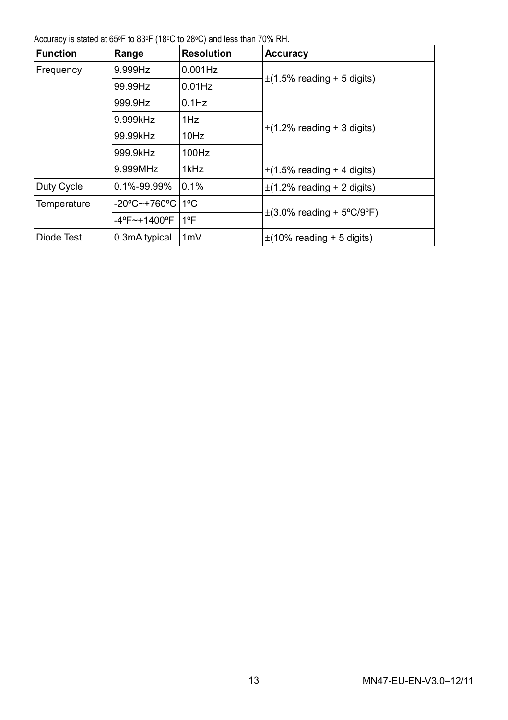Accuracy is stated at 65°F to 83°F (18°C to 28°C) and less than 70% RH.

| <b>Function</b> | Range                  | <b>Resolution</b> | Accuracy                        |
|-----------------|------------------------|-------------------|---------------------------------|
| Frequency       | 9.999Hz                | $0.001$ Hz        |                                 |
|                 | 99.99Hz                | $0.01$ Hz         | $\pm$ (1.5% reading + 5 digits) |
|                 | 999.9Hz                | $0.1$ Hz          |                                 |
|                 | 9.999kHz               | 1Hz               |                                 |
|                 | 99.99kHz               | 10Hz              | $\pm$ (1.2% reading + 3 digits) |
|                 | 999.9kHz               | 100Hz             |                                 |
|                 | 9.999MHz               | 1kHz              | $\pm$ (1.5% reading + 4 digits) |
| Duty Cycle      | 0.1%-99.99%            | 0.1%              | $\pm$ (1.2% reading + 2 digits) |
| Temperature     | -20°C~+760°C 11°C      |                   | $\pm$ (3.0% reading + 5°C/9°F)  |
|                 | $-4^{\circ}$ F~+1400°F | $1^{\circ}$ F     |                                 |
| Diode Test      | 0.3mA typical          | 1mV               | $\pm$ (10% reading + 5 digits)  |